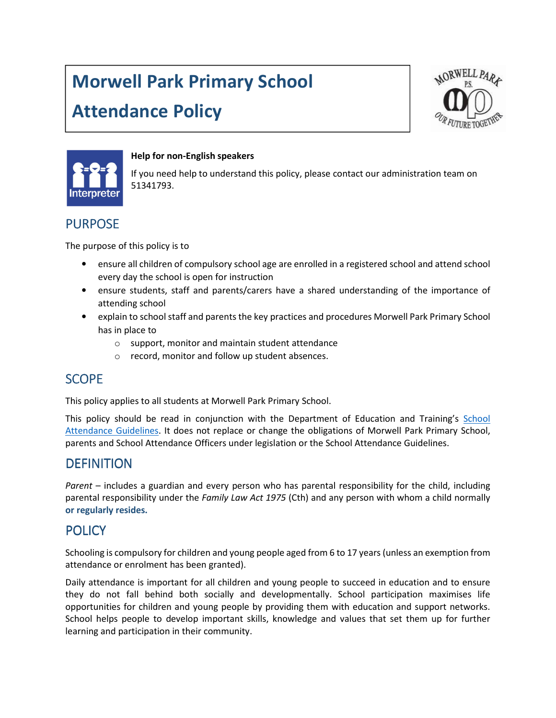# Morwell Park Primary School

## Attendance Policy





#### Help for non-English speakers

If you need help to understand this policy, please contact our administration team on 51341793.

## PURPOSE

The purpose of this policy is to

- ensure all children of compulsory school age are enrolled in a registered school and attend school every day the school is open for instruction
- ensure students, staff and parents/carers have a shared understanding of the importance of attending school
- explain to school staff and parents the key practices and procedures Morwell Park Primary School has in place to
	- o support, monitor and maintain student attendance
	- o record, monitor and follow up student absences.

## **SCOPF**

This policy applies to all students at Morwell Park Primary School.

This policy should be read in conjunction with the Department of Education and Training's School Attendance Guidelines. It does not replace or change the obligations of Morwell Park Primary School, parents and School Attendance Officers under legislation or the School Attendance Guidelines.

## **DEFINITION**

Parent – includes a guardian and every person who has parental responsibility for the child, including parental responsibility under the Family Law Act 1975 (Cth) and any person with whom a child normally or regularly resides.

## **POLICY**

Schooling is compulsory for children and young people aged from 6 to 17 years (unless an exemption from attendance or enrolment has been granted).

Daily attendance is important for all children and young people to succeed in education and to ensure they do not fall behind both socially and developmentally. School participation maximises life opportunities for children and young people by providing them with education and support networks. School helps people to develop important skills, knowledge and values that set them up for further learning and participation in their community.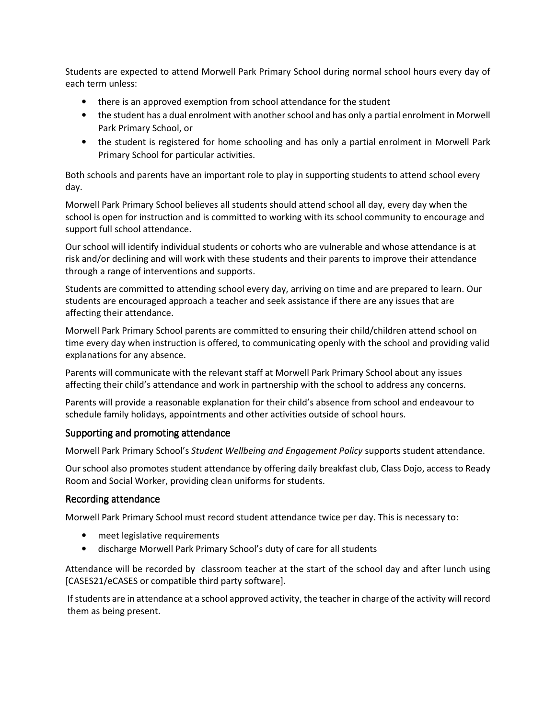Students are expected to attend Morwell Park Primary School during normal school hours every day of each term unless:

- there is an approved exemption from school attendance for the student
- the student has a dual enrolment with another school and has only a partial enrolment in Morwell Park Primary School, or
- the student is registered for home schooling and has only a partial enrolment in Morwell Park Primary School for particular activities.

Both schools and parents have an important role to play in supporting students to attend school every day.

Morwell Park Primary School believes all students should attend school all day, every day when the school is open for instruction and is committed to working with its school community to encourage and support full school attendance.

Our school will identify individual students or cohorts who are vulnerable and whose attendance is at risk and/or declining and will work with these students and their parents to improve their attendance through a range of interventions and supports.

Students are committed to attending school every day, arriving on time and are prepared to learn. Our students are encouraged approach a teacher and seek assistance if there are any issues that are affecting their attendance.

Morwell Park Primary School parents are committed to ensuring their child/children attend school on time every day when instruction is offered, to communicating openly with the school and providing valid explanations for any absence.

Parents will communicate with the relevant staff at Morwell Park Primary School about any issues affecting their child's attendance and work in partnership with the school to address any concerns.

Parents will provide a reasonable explanation for their child's absence from school and endeavour to schedule family holidays, appointments and other activities outside of school hours.

#### Supporting and promoting attendance

Morwell Park Primary School's Student Wellbeing and Engagement Policy supports student attendance.

Our school also promotes student attendance by offering daily breakfast club, Class Dojo, access to Ready Room and Social Worker, providing clean uniforms for students.

#### Recording attendance

Morwell Park Primary School must record student attendance twice per day. This is necessary to:

- meet legislative requirements
- discharge Morwell Park Primary School's duty of care for all students

Attendance will be recorded by classroom teacher at the start of the school day and after lunch using [CASES21/eCASES or compatible third party software].

If students are in attendance at a school approved activity, the teacher in charge of the activity will record them as being present.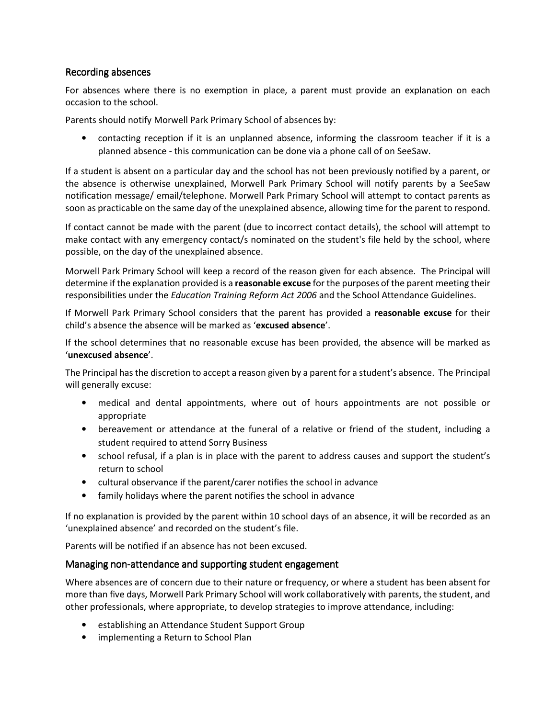#### Recording absences

For absences where there is no exemption in place, a parent must provide an explanation on each occasion to the school.

Parents should notify Morwell Park Primary School of absences by:

• contacting reception if it is an unplanned absence, informing the classroom teacher if it is a planned absence - this communication can be done via a phone call of on SeeSaw.

If a student is absent on a particular day and the school has not been previously notified by a parent, or the absence is otherwise unexplained, Morwell Park Primary School will notify parents by a SeeSaw notification message/ email/telephone. Morwell Park Primary School will attempt to contact parents as soon as practicable on the same day of the unexplained absence, allowing time for the parent to respond.

If contact cannot be made with the parent (due to incorrect contact details), the school will attempt to make contact with any emergency contact/s nominated on the student's file held by the school, where possible, on the day of the unexplained absence.

Morwell Park Primary School will keep a record of the reason given for each absence. The Principal will determine if the explanation provided is a reasonable excuse for the purposes of the parent meeting their responsibilities under the Education Training Reform Act 2006 and the School Attendance Guidelines.

If Morwell Park Primary School considers that the parent has provided a reasonable excuse for their child's absence the absence will be marked as 'excused absence'.

If the school determines that no reasonable excuse has been provided, the absence will be marked as 'unexcused absence'.

The Principal has the discretion to accept a reason given by a parent for a student's absence. The Principal will generally excuse:

- medical and dental appointments, where out of hours appointments are not possible or appropriate
- bereavement or attendance at the funeral of a relative or friend of the student, including a student required to attend Sorry Business
- school refusal, if a plan is in place with the parent to address causes and support the student's return to school
- cultural observance if the parent/carer notifies the school in advance
- family holidays where the parent notifies the school in advance

If no explanation is provided by the parent within 10 school days of an absence, it will be recorded as an 'unexplained absence' and recorded on the student's file.

Parents will be notified if an absence has not been excused.

#### Managing non-attendance and supporting student engagement

Where absences are of concern due to their nature or frequency, or where a student has been absent for more than five days, Morwell Park Primary School will work collaboratively with parents, the student, and other professionals, where appropriate, to develop strategies to improve attendance, including:

- establishing an Attendance Student Support Group
- implementing a Return to School Plan